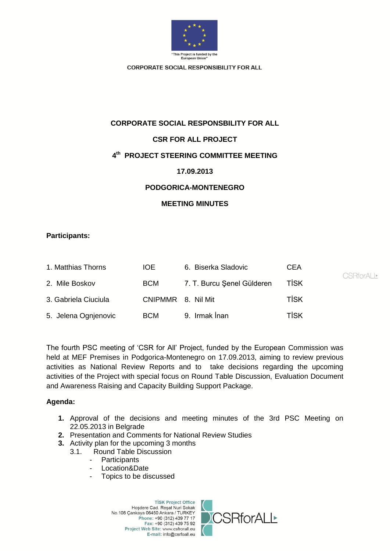

# **CORPORATE SOCIAL RESPONSBILITY FOR ALL**

# **CSR FOR ALL PROJECT**

# **4 th PROJECT STEERING COMMITTEE MEETING**

## **17.09.2013**

## **PODGORICA-MONTENEGRO**

## **MEETING MINUTES**

## **Participants:**

| 1. Matthias Thorns   | IOE.               | 6. Biserka Sladovic        | CEA         | <b>CSRforALL*</b> |
|----------------------|--------------------|----------------------------|-------------|-------------------|
| 2. Mile Boskov       | BCM                | 7. T. Burcu Şenel Gülderen | <b>TISK</b> |                   |
| 3. Gabriela Ciuciula | CNIPMMR 8. Nil Mit |                            | TİSK        |                   |
| 5. Jelena Ognjenovic | <b>BCM</b>         | 9. Irmak İnan              | <b>TİSK</b> |                   |

The fourth PSC meeting of 'CSR for All' Project, funded by the European Commission was held at MEF Premises in Podgorica-Montenegro on 17.09.2013, aiming to review previous activities as National Review Reports and to take decisions regarding the upcoming activities of the Project with special focus on Round Table Discussion, Evaluation Document and Awareness Raising and Capacity Building Support Package.

# **Agenda:**

- **1.** Approval of the decisions and meeting minutes of the 3rd PSC Meeting on 22.05.2013 in Belgrade
- **2.** Presentation and Comments for National Review Studies
- **3.** Activity plan for the upcoming 3 months
	- 3.1. Round Table Discussion
		- Participants
		- Location&Date
		- Topics to be discussed

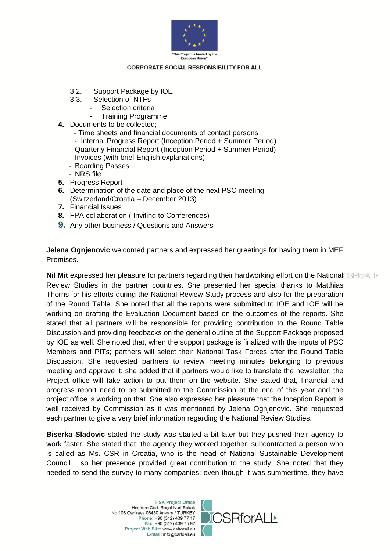

- 3.2. Support Package by IOE
- 3.3. Selection of NTFs
	- Selection criteria
		- Training Programme
- **4.** Documents to be collected;
	- Time sheets and financial documents of contact persons
	- Internal Progress Report (Inception Period + Summer Period)
	- Quarterly Financial Report (Inception Period + Summer Period)
	- Invoices (with brief English explanations)
	- Boarding Passes
	- NRS file
- **5.** Progress Report
- **6.** Determination of the date and place of the next PSC meeting (Switzerland/Croatia – December 2013)
- **7.** Financial Issues
- **8.** FPA collaboration ( Inviting to Conferences)
- **9.** Any other business / Questions and Answers

**Jelena Ognjenovic** welcomed partners and expressed her greetings for having them in MEF Premises.

**Nil Mit** expressed her pleasure for partners regarding their hardworking effort on the NationalCSRforALLE Review Studies in the partner countries. She presented her special thanks to Matthias Thorns for his efforts during the National Review Study process and also for the preparation of the Round Table. She noted that all the reports were submitted to IOE and IOE will be working on drafting the Evaluation Document based on the outcomes of the reports. She stated that all partners will be responsible for providing contribution to the Round Table Discussion and providing feedbacks on the general outline of the Support Package proposed by IOE as well. She noted that, when the support package is finalized with the inputs of PSC Members and PITs; partners will select their National Task Forces after the Round Table Discussion. She requested partners to review meeting minutes belonging to previous meeting and approve it; she added that if partners would like to translate the newsletter, the Project office will take action to put them on the website. She stated that, financial and progress report need to be submitted to the Commission at the end of this year and the project office is working on that. She also expressed her pleasure that the Inception Report is well received by Commission as it was mentioned by Jelena Ognjenovic. She requested each partner to give a very brief information regarding the National Review Studies.

**Biserka Sladovic** stated the study was started a bit later but they pushed their agency to work faster. She stated that, the agency they worked together, subcontracted a person who is called as Ms. CSR in Croatia, who is the head of National Sustainable Development Council so her presence provided great contribution to the study. She noted that they needed to send the survey to many companies; even though it was summertime, they have

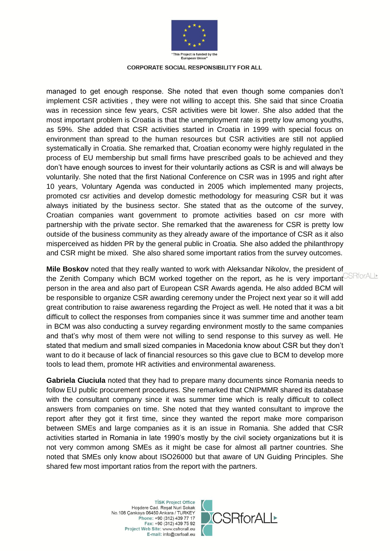

managed to get enough response. She noted that even though some companies don't implement CSR activities , they were not willing to accept this. She said that since Croatia was in recession since few years, CSR activities were bit lower. She also added that the most important problem is Croatia is that the unemployment rate is pretty low among youths, as 59%. She added that CSR activities started in Croatia in 1999 with special focus on environment than spread to the human resources but CSR activities are still not applied systematically in Croatia. She remarked that, Croatian economy were highly regulated in the process of EU membership but small firms have prescribed goals to be achieved and they don't have enough sources to invest for their voluntarily actions as CSR is and will always be voluntarily. She noted that the first National Conference on CSR was in 1995 and right after 10 years, Voluntary Agenda was conducted in 2005 which implemented many projects, promoted csr activities and develop domestic methodology for measuring CSR but it was always initiated by the business sector. She stated that as the outcome of the survey, Croatian companies want government to promote activities based on csr more with partnership with the private sector. She remarked that the awareness for CSR is pretty low outside of the business community as they already aware of the importance of CSR as it also misperceived as hidden PR by the general public in Croatia. She also added the philanthropy and CSR might be mixed. She also shared some important ratios from the survey outcomes.

**Mile Boskov** noted that they really wanted to work with Aleksandar Nikolov, the president of the Zenith Company which BCM worked together on the report, as he is very important person in the area and also part of European CSR Awards agenda. He also added BCM will be responsible to organize CSR awarding ceremony under the Project next year so it will add great contribution to raise awareness regarding the Project as well. He noted that it was a bit difficult to collect the responses from companies since it was summer time and another team in BCM was also conducting a survey regarding environment mostly to the same companies and that's why most of them were not willing to send response to this survey as well. He stated that medium and small sized companies in Macedonia know about CSR but they don't want to do it because of lack of financial resources so this gave clue to BCM to develop more tools to lead them, promote HR activities and environmental awareness.

**Gabriela Ciuciula** noted that they had to prepare many documents since Romania needs to follow EU public procurement procedures. She remarked that CNIPMMR shared its database with the consultant company since it was summer time which is really difficult to collect answers from companies on time. She noted that they wanted consultant to improve the report after they got it first time, since they wanted the report make more comparison between SMEs and large companies as it is an issue in Romania. She added that CSR activities started in Romania in late 1990's mostly by the civil society organizations but it is not very common among SMEs as it might be case for almost all partner countries. She noted that SMEs only know about ISO26000 but that aware of UN Guiding Principles. She shared few most important ratios from the report with the partners.

> **TİSK Project Office** Hoşdere Cad. Reşat Nuri Sokak No.108 Çankaya 06450 Ankara / TURKEY Phone: +90 (312) 439 77 17 Fax: +90 (312) 439 75 92 Project Web Site: www.csfrorall.eu E-mail: info@csrfoall.eu



SRforALI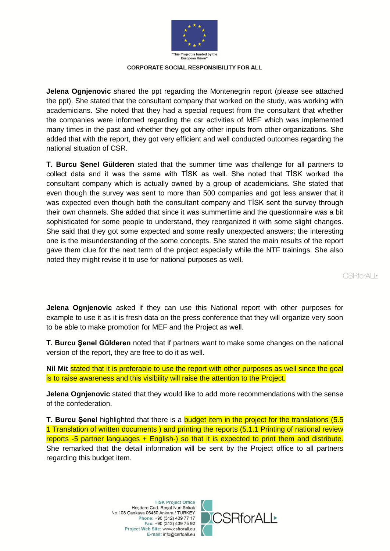

**Jelena Ognjenovic** shared the ppt regarding the Montenegrin report (please see attached the ppt). She stated that the consultant company that worked on the study, was working with academicians. She noted that they had a special request from the consultant that whether the companies were informed regarding the csr activities of MEF which was implemented many times in the past and whether they got any other inputs from other organizations. She added that with the report, they got very efficient and well conducted outcomes regarding the national situation of CSR.

**T. Burcu Şenel Gülderen** stated that the summer time was challenge for all partners to collect data and it was the same with TİSK as well. She noted that TİSK worked the consultant company which is actually owned by a group of academicians. She stated that even though the survey was sent to more than 500 companies and got less answer that it was expected even though both the consultant company and TİSK sent the survey through their own channels. She added that since it was summertime and the questionnaire was a bit sophisticated for some people to understand, they reorganized it with some slight changes. She said that they got some expected and some really unexpected answers; the interesting one is the misunderstanding of the some concepts. She stated the main results of the report gave them clue for the next term of the project especially while the NTF trainings. She also noted they might revise it to use for national purposes as well.

CSRforALI

**Jelena Ognjenovic** asked if they can use this National report with other purposes for example to use it as it is fresh data on the press conference that they will organize very soon to be able to make promotion for MEF and the Project as well.

**T. Burcu Şenel Gülderen** noted that if partners want to make some changes on the national version of the report, they are free to do it as well.

Nil Mit stated that it is preferable to use the report with other purposes as well since the goal is to raise awareness and this visibility will raise the attention to the Project.

**Jelena Ognjenovic** stated that they would like to add more recommendations with the sense of the confederation.

**T. Burcu Şenel** highlighted that there is a budget item in the project for the translations (5.5 1 Translation of written documents ) and printing the reports (5.1.1 Printing of national review reports -5 partner languages + English-) so that it is expected to print them and distribute. She remarked that the detail information will be sent by the Project office to all partners regarding this budget item.

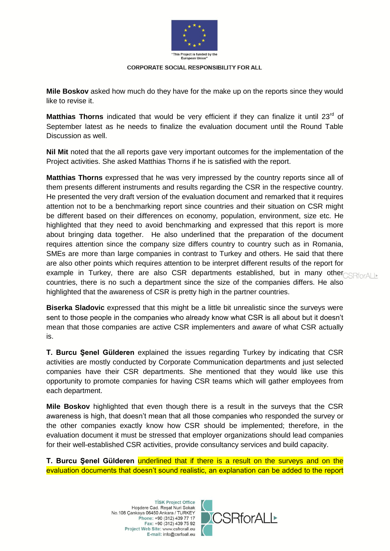

**Mile Boskov** asked how much do they have for the make up on the reports since they would like to revise it.

**Matthias Thorns** indicated that would be very efficient if they can finalize it until 23<sup>rd</sup> of September latest as he needs to finalize the evaluation document until the Round Table Discussion as well.

**Nil Mit** noted that the all reports gave very important outcomes for the implementation of the Project activities. She asked Matthias Thorns if he is satisfied with the report.

**Matthias Thorns** expressed that he was very impressed by the country reports since all of them presents different instruments and results regarding the CSR in the respective country. He presented the very draft version of the evaluation document and remarked that it requires attention not to be a benchmarking report since countries and their situation on CSR might be different based on their differences on economy, population, environment, size etc. He highlighted that they need to avoid benchmarking and expressed that this report is more about bringing data together. He also underlined that the preparation of the document requires attention since the company size differs country to country such as in Romania, SMEs are more than large companies in contrast to Turkey and others. He said that there are also other points which requires attention to be interpret different results of the report for example in Turkey, there are also CSR departments established, but in many other $\text{CSRfordI}$ countries, there is no such a department since the size of the companies differs. He also highlighted that the awareness of CSR is pretty high in the partner countries.

**Biserka Sladovic** expressed that this might be a little bit unrealistic since the surveys were sent to those people in the companies who already know what CSR is all about but it doesn't mean that those companies are active CSR implementers and aware of what CSR actually is.

**T. Burcu Şenel Gülderen** explained the issues regarding Turkey by indicating that CSR activities are mostly conducted by Corporate Communication departments and just selected companies have their CSR departments. She mentioned that they would like use this opportunity to promote companies for having CSR teams which will gather employees from each department.

**Mile Boskov** highlighted that even though there is a result in the surveys that the CSR awareness is high, that doesn't mean that all those companies who responded the survey or the other companies exactly know how CSR should be implemented; therefore, in the evaluation document it must be stressed that employer organizations should lead companies for their well-established CSR activities, provide consultancy services and build capacity.

**T. Burcu Şenel Gülderen** underlined that if there is a result on the surveys and on the evaluation documents that doesn't sound realistic, an explanation can be added to the report

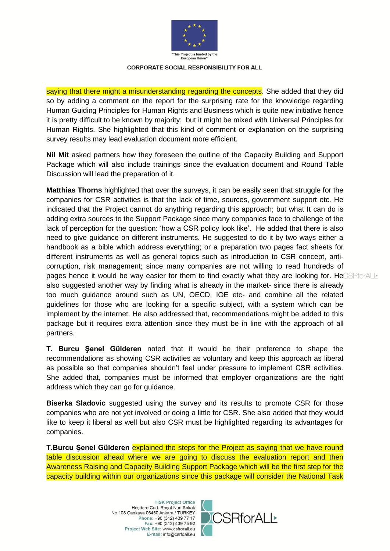

saying that there might a misunderstanding regarding the concepts. She added that they did so by adding a comment on the report for the surprising rate for the knowledge regarding Human Guiding Principles for Human Rights and Business which is quite new initiative hence it is pretty difficult to be known by majority; but it might be mixed with Universal Principles for Human Rights. She highlighted that this kind of comment or explanation on the surprising survey results may lead evaluation document more efficient.

**Nil Mit** asked partners how they foreseen the outline of the Capacity Building and Support Package which will also include trainings since the evaluation document and Round Table Discussion will lead the preparation of it.

**Matthias Thorns** highlighted that over the surveys, it can be easily seen that struggle for the companies for CSR activities is that the lack of time, sources, government support etc. He indicated that the Project cannot do anything regarding this approach; but what It can do is adding extra sources to the Support Package since many companies face to challenge of the lack of perception for the question: 'how a CSR policy look like'. He added that there is also need to give guidance on different instruments. He suggested to do it by two ways either a handbook as a bible which address everything; or a preparation two pages fact sheets for different instruments as well as general topics such as introduction to CSR concept, anticorruption, risk management; since many companies are not willing to read hundreds of pages hence it would be way easier for them to find exactly what they are looking for. HeCSRforALL also suggested another way by finding what is already in the market- since there is already too much guidance around such as UN, OECD, IOE etc- and combine all the related guidelines for those who are looking for a specific subject, with a system which can be implement by the internet. He also addressed that, recommendations might be added to this package but it requires extra attention since they must be in line with the approach of all partners.

**T. Burcu Şenel Gülderen** noted that it would be their preference to shape the recommendations as showing CSR activities as voluntary and keep this approach as liberal as possible so that companies shouldn't feel under pressure to implement CSR activities. She added that, companies must be informed that employer organizations are the right address which they can go for guidance.

**Biserka Sladovic** suggested using the survey and its results to promote CSR for those companies who are not yet involved or doing a little for CSR. She also added that they would like to keep it liberal as well but also CSR must be highlighted regarding its advantages for companies.

**T.Burcu Şenel Gülderen** explained the steps for the Project as saying that we have round table discussion ahead where we are going to discuss the evaluation report and then Awareness Raising and Capacity Building Support Package which will be the first step for the capacity building within our organizations since this package will consider the National Task

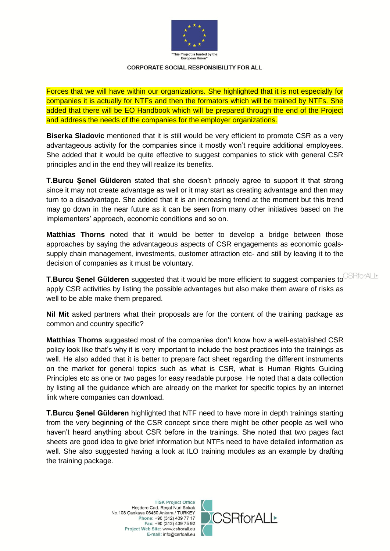

Forces that we will have within our organizations. She highlighted that it is not especially for companies it is actually for NTFs and then the formators which will be trained by NTFs. She added that there will be EO Handbook which will be prepared through the end of the Project and address the needs of the companies for the employer organizations.

**Biserka Sladovic** mentioned that it is still would be very efficient to promote CSR as a very advantageous activity for the companies since it mostly won't require additional employees. She added that it would be quite effective to suggest companies to stick with general CSR principles and in the end they will realize its benefits.

**T.Burcu Şenel Gülderen** stated that she doesn't princely agree to support it that strong since it may not create advantage as well or it may start as creating advantage and then may turn to a disadvantage. She added that it is an increasing trend at the moment but this trend may go down in the near future as it can be seen from many other initiatives based on the implementers' approach, economic conditions and so on.

**Matthias Thorns** noted that it would be better to develop a bridge between those approaches by saying the advantageous aspects of CSR engagements as economic goalssupply chain management, investments, customer attraction etc- and still by leaving it to the decision of companies as it must be voluntary.

**T.Burcu Şenel Gülderen** suggested that it would be more efficient to suggest companies to CSRforALL apply CSR activities by listing the possible advantages but also make them aware of risks as well to be able make them prepared.

**Nil Mit** asked partners what their proposals are for the content of the training package as common and country specific?

**Matthias Thorns** suggested most of the companies don't know how a well-established CSR policy look like that's why it is very important to include the best practices into the trainings as well. He also added that it is better to prepare fact sheet regarding the different instruments on the market for general topics such as what is CSR, what is Human Rights Guiding Principles etc as one or two pages for easy readable purpose. He noted that a data collection by listing all the guidance which are already on the market for specific topics by an internet link where companies can download.

**T.Burcu Şenel Gülderen** highlighted that NTF need to have more in depth trainings starting from the very beginning of the CSR concept since there might be other people as well who haven't heard anything about CSR before in the trainings. She noted that two pages fact sheets are good idea to give brief information but NTFs need to have detailed information as well. She also suggested having a look at ILO training modules as an example by drafting the training package.

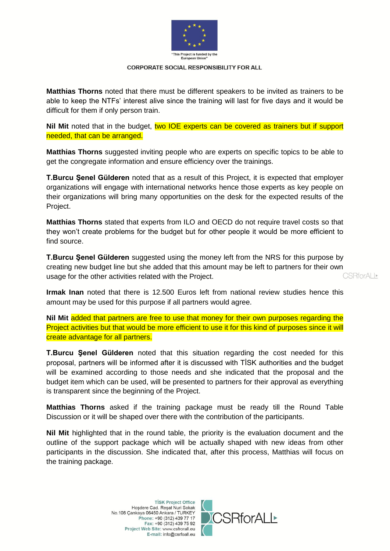

**Matthias Thorns** noted that there must be different speakers to be invited as trainers to be able to keep the NTFs' interest alive since the training will last for five days and it would be difficult for them if only person train.

Nil Mit noted that in the budget, two IOE experts can be covered as trainers but if support needed, that can be arranged.

**Matthias Thorns** suggested inviting people who are experts on specific topics to be able to get the congregate information and ensure efficiency over the trainings.

**T.Burcu Şenel Gülderen** noted that as a result of this Project, it is expected that employer organizations will engage with international networks hence those experts as key people on their organizations will bring many opportunities on the desk for the expected results of the Project.

**Matthias Thorns** stated that experts from ILO and OECD do not require travel costs so that they won't create problems for the budget but for other people it would be more efficient to find source.

**T.Burcu Şenel Gülderen** suggested using the money left from the NRS for this purpose by creating new budget line but she added that this amount may be left to partners for their own CSRforALI\* usage for the other activities related with the Project.

**Irmak Inan** noted that there is 12.500 Euros left from national review studies hence this amount may be used for this purpose if all partners would agree.

**Nil Mit** added that partners are free to use that money for their own purposes regarding the Project activities but that would be more efficient to use it for this kind of purposes since it will create advantage for all partners.

**T.Burcu Şenel Gülderen** noted that this situation regarding the cost needed for this proposal, partners will be informed after it is discussed with TİSK authorities and the budget will be examined according to those needs and she indicated that the proposal and the budget item which can be used, will be presented to partners for their approval as everything is transparent since the beginning of the Project.

**Matthias Thorns** asked if the training package must be ready till the Round Table Discussion or it will be shaped over there with the contribution of the participants.

**Nil Mit** highlighted that in the round table, the priority is the evaluation document and the outline of the support package which will be actually shaped with new ideas from other participants in the discussion. She indicated that, after this process, Matthias will focus on the training package.

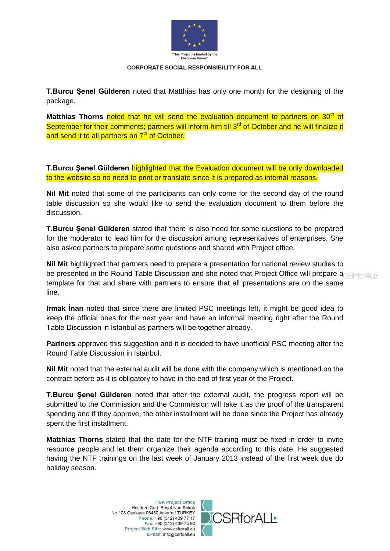

**T.Burcu Şenel Gülderen** noted that Matthias has only one month for the designing of the package.

Matthias Thorns noted that he will send the evaluation document to partners on 30<sup>th</sup> of September for their comments; partners will inform him till 3<sup>rd</sup> of October and he will finalize it and send it to all partners on 7<sup>th</sup> of October.

**T.Burcu Şenel Gülderen** highlighted that the Evaluation document will be only downloaded to the website so no need to print or translate since it is prepared as internal reasons.

**Nil Mit** noted that some of the participants can only come for the second day of the round table discussion so she would like to send the evaluation document to them before the discussion.

**T.Burcu Şenel Gülderen** stated that there is also need for some questions to be prepared for the moderator to lead him for the discussion among representatives of enterprises. She also asked partners to prepare some questions and shared with Project office.

**Nil Mit** highlighted that partners need to prepare a presentation for national review studies to be presented in the Round Table Discussion and she noted that Project Office will prepare an experient of template for that and share with partners to ensure that all presentations are on the same line.

**Irmak İnan** noted that since there are limited PSC meetings left, it might be good idea to keep the official ones for the next year and have an informal meeting right after the Round Table Discussion in İstanbul as partners will be together already.

**Partners** approved this suggestion and it is decided to have unofficial PSC meeting after the Round Table Discussion in Istanbul.

**Nil Mit** noted that the external audit will be done with the company which is mentioned on the contract before as it is obligatory to have in the end of first year of the Project.

**T.Burcu Şenel Gülderen** noted that after the external audit, the progress report will be submitted to the Commission and the Commission will take it as the proof of the transparent spending and if they approve, the other installment will be done since the Project has already spent the first installment.

**Matthias Thorns** stated that the date for the NTF training must be fixed in order to invite resource people and let them organize their agenda according to this date. He suggested having the NTF trainings on the last week of January 2013 instead of the first week due do holiday season.